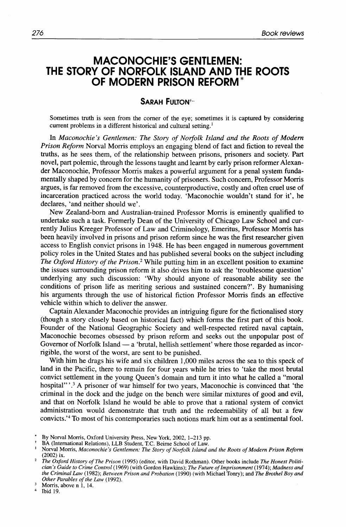## **MACONOCHIE'S GENTLEMEN: THE STORY OF NORFOLK ISLAND AND THE ROOTS OF MODERN PRISON REFORM\***

## **SARAH FULTON<sup>+</sup>**

Sometimes truth is seen from the comer of the eye; sometimes it is captured by considering current problems in a different historical and cultural setting.'

In *Maconochie's Gentlemen: The Story of Norfolk Island and the Roots of Modern Prison Reform* Norval Morris employs an engaging blend of fact and fiction to reveal the truths, as he sees them, of the relationship between prisons, prisoners and society. Part novel, part polemic, through the lessons taught and learnt by early prison reformer Alexander Maconochie, Professor Morris makes a powerful argument for a penal system fundamentally shaped by concern for the humanity of prisoners. Such concern, Professor Morris argues, is far removed from the excessive, counterproductive, costly and often cruel use of incarceration practiced across the world today. 'Maconochie wouldn't stand for it', he declares, 'and neither should we'.

New Zealand-born and Australian-trained Professor Morris is eminently qualified to undertake such a task. Formerly Dean of the University of Chicago Law School and currently Julius Kreeger Professor of Law and Criminology, Emeritus, Professor Morris has been heavily involved in prisons and prison reform since he was the first researcher given access to English convict prisons in 1948. He has been engaged in numerous government policy roles in the United States and has published several books on the subject including *The Oxford History of the Prison.\** While putting him in an excellent position to examine the issues surrounding prison reform it also drives him to ask the 'troublesome question' underlying any such discussion: 'Why should anyone of reasonable ability see the conditions of prison life as meriting serious and sustained concern?'. By humanising his arguments through the use of historical fiction Professor Morris finds an effective vehicle within which to deliver the answer.

Captain Alexander Maconochie provides an intriguing figure for the fictionalised story (though a story closely based on historical fact) which forms the first part of this book. Founder of the National Geographic Society and well-respected retired naval captain, Maconochie becomes obsessed by prison reform and seeks out the unpopular post of Governor of Norfolk Island - a 'brutal, hellish settlement' where those regarded as incorrigible, the worst of the worst, are sent to be punished.

With him he drags his wife and six children 1,000 miles across the sea to this speck of land in the Pacific, there to remain for four years while he tries to 'take the most brutal convict settlement in the young Queen's domain and turn it into what he called a "moral hospital" **'.3 A** prisoner of war himself for two years, Maconochie is convinced that 'the criminal in the dock and the judge on the bench were similar mixtures of good and evil, and that on Norfolk Island he would be able to prove that a rational system of convict administration would demonstrate that truth and the redeemability of all but a few convicts.<sup>'4</sup> To most of his contemporaries such notions mark him out as a sentimental fool.

<sup>\*</sup> By Norval Morris, Oxford University Press, New York, 2002, 1–213 pp.<br>† BA (International Relations), LLB Student, T.C. Beirne School of Law.<br><sup>1</sup> Norval Morris, *Maconochie's Gentlemen: The Story of Norfolk Island and the* (2002) ix.

*The Oxford History of The Prison* (1995) (editor, with David Rothman). Other books include *The Honest Politician's Guide to Crime Control* (1969) (with Gordon Hawkins); *The Future of Imprisonment* (1974); *Madness and the Criminal* **Law** (1982); *Between Prison and Probation* (1990) (with Michael Tonry); and *The Brothel Boy and Other Parables of the* **Law** (1992).

 $\overline{\mathbf{3}}$ Morris, above n 1, 14.

 $\overline{4}$ Ibid 19.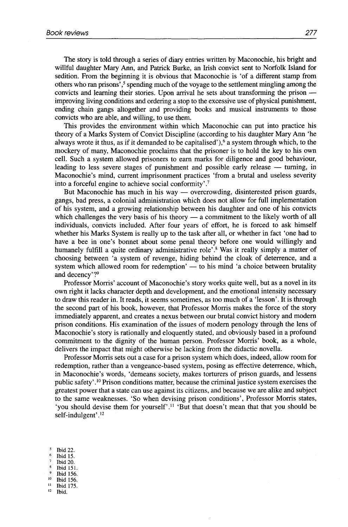The story is told through a series of diary entries written by Maconochie, his bright and willful daughter Mary Ann, and Patrick Burke, an Irish convict sent to Norfolk Island for sedition. From the beginning it is obvious that Maconochie is 'of a different stamp from others who ran prisons', $\frac{5}{3}$  spending much of the voyage to the settlement mingling among the sedition. From the beginning it is obvious that Maconochie is 'of a different stamp from<br>others who ran prisons',<sup>5</sup> spending much of the voyage to the settlement mingling among the<br>convicts and learning their stories. Upo improving living conditions and ordering a stop to the excessive use of physical punishment, ending chain gangs altogether and providing books and musical instruments to those convicts who are able, and willing, to use them.

This provides the environment within which Maconochie can put into practice his theory of a Marks System of Convict Discipline (according to his daughter Mary Ann 'he always wrote it thus, as if it demanded to be capitalised'), $6$  a system through which, to the mockery of many, Maconochie proclaims that the prisoner is to hold the key to his own cell. Such a system allowed prisoners to earn marks for diligence and good behaviour, leading to less severe stages of punishment and possible early release  $-$  turning, in Maconochie's mind, current imprisonment practices 'from a brutal and useless severity into a forceful engine to achieve social conformity' .7

But Maconochie has much in his way — overcrowding, disinterested prison guards, gangs, bad press, a colonial administration which does not allow for full implementation of his system, and a growing relationship between his daughter and one of his convicts which challenges the very basis of his theory  $-$  a commitment to the likely worth of all individuals, convicts included. After four years of effort, he is forced to ask himself whether his Marks System is really up to the task after all, or whether in fact 'one had to have a bee in one's bonnet about some penal theory before one would willingly and humanely fulfill a quite ordinary administrative role'.<sup>8</sup> Was it really simply a matter of choosing between 'a system of revenge, hiding behind the cloak of deterrence, and a system which allowed room for redemption' - to his mind 'a choice between brutality and decency'?<sup>9</sup>

Professor Morris' account of Maconochie's story works quite well, but as a novel in its own right it lacks character depth and development, and the emotional intensity necessary to draw this reader in. It reads, it seems sometimes, as too much of a 'lesson'. It is through the second part of his book, however, that Professor Morris makes the force of the story immediately apparent, and creates a nexus between our brutal convict history and modern prison conditions. His examination of the issues of modern penology through the lens of Maconochie's story is rationally and eloquently stated, and obviously based in a profound commitment to the dignity of the human person. Professor Morris' book, as a whole, delivers the impact that might otherwise be lacking from the didactic novella.

Professor Morris sets out a case for a prison system which does, indeed, allow room for redemption, rather than a vengeance-based system, posing as effective deterrence, which, in Maconochie's words, 'demeans society, makes torturers of prison guards, and lessens public safety' **.I0** Prison conditions matter, because the criminal justice system exercises the greatest power that a state can use against its citizens, and because we are alike and subject to the same weaknesses. 'So when devising prison conditions', Professor Morris states, 'you should devise them for yourself'.ll 'But that doesn't mean that that you should be self-indulgent'. **l2** 

 $\sim$ **Ibid 22.**  6 **Ibid 15.** " **Ibid 20. Ibid 151. Ibid 156. 'O Ibid 156.** " **Ibid 175. l2 Ibid.**